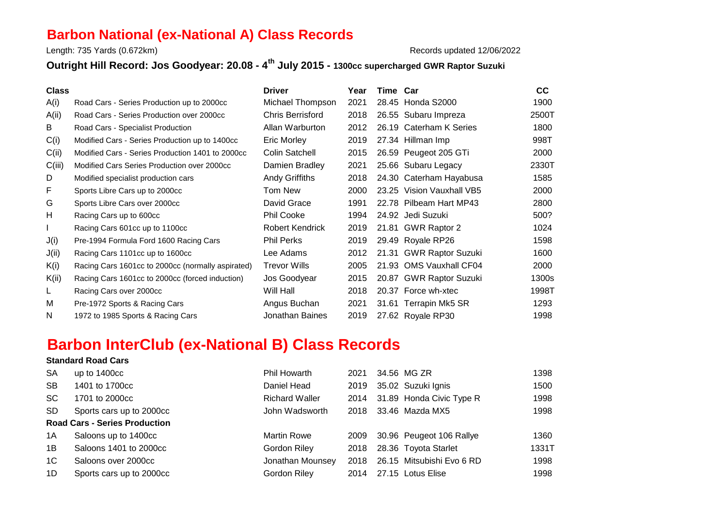## **Barbon National (ex-National A) Class Records**

Length: 735 Yards (0.672km)

Records updated 12/06/2022

## **Outright Hill Record: Jos Goodyear: 20.08 - 4th July 2015 - 1300cc supercharged GWR Raptor Suzuki**

| <b>Class</b> |                                                   | <b>Driver</b>           | Year | Time Car |                           | cc    |
|--------------|---------------------------------------------------|-------------------------|------|----------|---------------------------|-------|
| A(i)         | Road Cars - Series Production up to 2000cc        | Michael Thompson        | 2021 |          | 28.45 Honda S2000         | 1900  |
| A(ii)        | Road Cars - Series Production over 2000cc         | <b>Chris Berrisford</b> | 2018 |          | 26.55 Subaru Impreza      | 2500T |
| B            | Road Cars - Specialist Production                 | Allan Warburton         | 2012 |          | 26.19 Caterham K Series   | 1800  |
| C(i)         | Modified Cars - Series Production up to 1400cc    | Eric Morley             | 2019 |          | 27.34 Hillman Imp         | 998T  |
| C(ii)        | Modified Cars - Series Production 1401 to 2000cc  | Colin Satchell          | 2015 |          | 26.59 Peugeot 205 GTi     | 2000  |
| C(iii)       | Modified Cars Series Production over 2000cc       | Damien Bradley          | 2021 |          | 25.66 Subaru Legacy       | 2330T |
| D            | Modified specialist production cars               | Andy Griffiths          | 2018 |          | 24.30 Caterham Hayabusa   | 1585  |
| F            | Sports Libre Cars up to 2000cc                    | Tom New                 | 2000 |          | 23.25 Vision Vauxhall VB5 | 2000  |
| G            | Sports Libre Cars over 2000cc                     | David Grace             | 1991 |          | 22.78 Pilbeam Hart MP43   | 2800  |
| H            | Racing Cars up to 600cc                           | <b>Phil Cooke</b>       | 1994 |          | 24.92 Jedi Suzuki         | 500?  |
|              | Racing Cars 601cc up to 1100cc                    | <b>Robert Kendrick</b>  | 2019 |          | 21.81 GWR Raptor 2        | 1024  |
| J(i)         | Pre-1994 Formula Ford 1600 Racing Cars            | <b>Phil Perks</b>       | 2019 |          | 29.49 Royale RP26         | 1598  |
| J(ii)        | Racing Cars 1101cc up to 1600cc                   | Lee Adams               | 2012 | 21.31    | <b>GWR Raptor Suzuki</b>  | 1600  |
| K(i)         | Racing Cars 1601cc to 2000cc (normally aspirated) | <b>Trevor Wills</b>     | 2005 | 21.93    | <b>OMS Vauxhall CF04</b>  | 2000  |
| K(ii)        | Racing Cars 1601cc to 2000cc (forced induction)   | Jos Goodyear            | 2015 |          | 20.87 GWR Raptor Suzuki   | 1300s |
| L.           | Racing Cars over 2000cc                           | Will Hall               | 2018 |          | 20.37 Force wh-xtec       | 1998T |
| м            | Pre-1972 Sports & Racing Cars                     | Angus Buchan            | 2021 |          | 31.61 Terrapin Mk5 SR     | 1293  |
| N            | 1972 to 1985 Sports & Racing Cars                 | Jonathan Baines         | 2019 |          | 27.62 Royale RP30         | 1998  |
|              |                                                   |                         |      |          |                           |       |

## **Barbon InterClub (ex-National B) Class Records**

## **Standard Road Cars**

| <b>SA</b>                            | up to $1400cc$           | Phil Howarth          | 2021 |  | 34.56 MG ZR                   | 1398  |
|--------------------------------------|--------------------------|-----------------------|------|--|-------------------------------|-------|
| <b>SB</b>                            | 1401 to 1700cc           | Daniel Head           | 2019 |  | 35.02 Suzuki Ignis            | 1500  |
| SC.                                  | 1701 to 2000cc           | <b>Richard Waller</b> |      |  | 2014 31.89 Honda Civic Type R | 1998  |
| SD.                                  | Sports cars up to 2000cc | John Wadsworth        |      |  | 2018 33.46 Mazda MX5          | 1998  |
| <b>Road Cars - Series Production</b> |                          |                       |      |  |                               |       |
| 1A                                   | Saloons up to 1400cc     | <b>Martin Rowe</b>    | 2009 |  | 30.96 Peugeot 106 Rallye      | 1360  |
| 1B                                   | Saloons 1401 to 2000cc   | Gordon Riley          |      |  | 2018 28.36 Toyota Starlet     | 1331T |
| 1C                                   | Saloons over 2000cc      | Jonathan Mounsey      | 2018 |  | 26.15 Mitsubishi Evo 6 RD     | 1998  |
| 1D                                   | Sports cars up to 2000cc | Gordon Riley          |      |  | 2014 27.15 Lotus Elise        | 1998  |